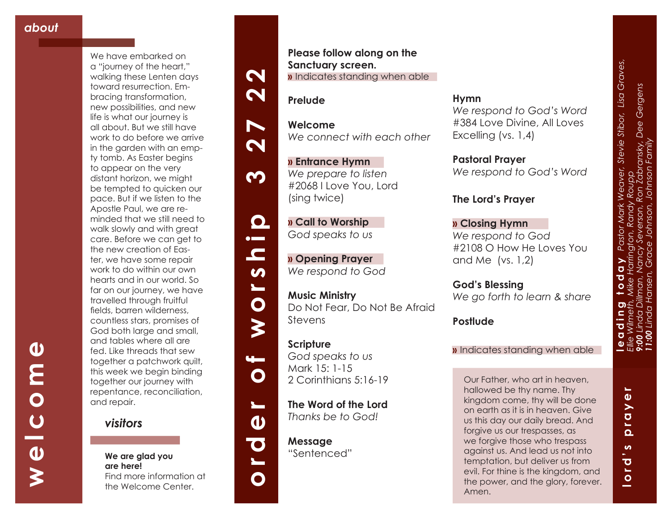**welcome**

 $\frac{c}{\theta}$ 

 $\boldsymbol{\gtrless}$ 

 $\boldsymbol{\omega}$ 

E<br>O N

We have embarked on a "journey of the heart," walking these Lenten days toward resurrection. Embracing transformation, new possibilities, and new life is what our journey is all about. But we still have work to do before we arrive in the garden with an empty tomb. As Easter begins to appear on the very distant horizon, we might be tempted to quicken our pace. But if we listen to the Apostle Paul, we are reminded that we still need to walk slowly and with great care. Before we can get to the new creation of Easter, we have some repair work to do within our own hearts and in our world. So far on our journey, we have travelled through fruitful fields, barren wilderness, countless stars, promises of God both large and small, and tables where all are fed. Like threads that sew together a patchwork quilt, this week we begin binding together our journey with repentance, reconciliation, and repair.



**We are glad you are here!** Find more information at the Welcome Center.

**Please follow along on the Sanctuary screen. »** Indicates standing when able

**Prelude**

**Welcome** *We connect with each other*

**» Entrance Hymn**  *We prepare to listen* #2068 I Love You, Lord (sing twice)

**» Call to Worship**  *God speaks to us*

**» Opening Prayer**  *We respond to God*

**Music Ministry**  Do Not Fear, Do Not Be Afraid Stevens

## **Scripture** *God speaks to us*

**order of worship 3 27 22**

 $\boldsymbol{\omega}$  $\blacksquare$ 

 $\bullet$ 

 $\blacktriangleright$ 

 $\mathbf O$ 

 $\mathbf{L}$ 

 $\boldsymbol{\omega}$ 

 $\overline{\textbf{C}}$ 

 $\bullet$ 

 $\mathbf{L}$ 

 $\boldsymbol{\mathsf{N}}$ 

 $\boldsymbol{\mathsf{N}}$ 

N

 $\boldsymbol{\mathsf{N}}$ 

<u>က</u>

 $\mathbf{\Omega}$  $\bullet$   $\blacksquare$ 

> Mark 15: 1-15 2 Corinthians 5:16-19

**The Word of the Lord**  *Thanks be to God!*

**Message** "Sentenced"

**Hymn**  *We respond to God's Word*  #384 Love Divine, All Loves Excelling (vs. 1,4)

**Pastoral Prayer** *We respond to God's Word*

### **The Lord's Prayer**

**» Closing Hymn** *We respond to God* #2108 O How He Loves You and Me (vs. 1,2)

**God's Blessing** *We go forth to learn & share*

## **Postlude**

**»** Indicates standing when able

Our Father, who art in heaven, hallowed be thy name. Thy kingdom come, thy will be done on earth as it is in heaven. Give us this day our daily bread. And forgive us our trespasses, as we forgive those who trespass against us. And lead us not into temptation, but deliver us from evil. For thine is the kingdom, and the power, and the glory, forever. Amen.

 $\overline{\phantom{0}}$ **lord's prayer**  $\mathbf{\omega}$ ray  $\overline{\mathbf{a}}$  $\boldsymbol{\omega}$  $\overline{\mathbf{o}}$  $\overline{a}$